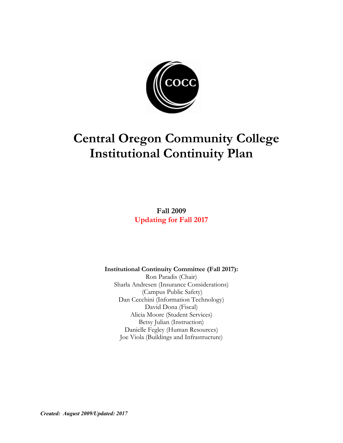

# **Central Oregon Community College Institutional Continuity Plan**

**Fall 2009 Updating for Fall 2017**

**Institutional Continuity Committee (Fall 2017):**

Ron Paradis (Chair) Sharla Andresen (Insurance Considerations) (Campus Public Safety) Dan Cecchini (Information Technology) David Dona (Fiscal) Alicia Moore (Student Services) Betsy Julian (Instruction) Danielle Fegley (Human Resources) Joe Viola (Buildings and Infrastructure)

*Created: August 2009/Updated: 2017*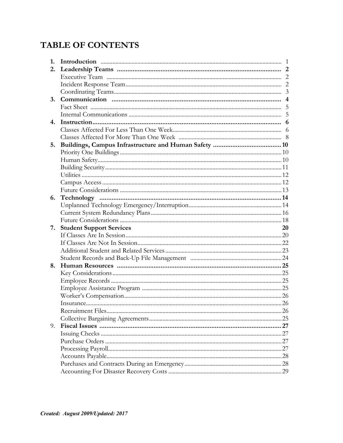# **TABLE OF CONTENTS**

| 1. |                                 | $\overline{1}$ |
|----|---------------------------------|----------------|
| 2. |                                 |                |
|    |                                 |                |
|    |                                 |                |
|    |                                 |                |
| 3. |                                 | $\overline{4}$ |
|    |                                 |                |
|    |                                 |                |
| 4. |                                 | 6              |
|    |                                 |                |
|    |                                 |                |
| 5. |                                 |                |
|    |                                 |                |
|    |                                 |                |
|    |                                 |                |
|    |                                 |                |
|    |                                 |                |
|    |                                 |                |
| 6. |                                 |                |
|    |                                 |                |
|    |                                 |                |
|    |                                 |                |
| 7. | <b>Student Support Services</b> | 20             |
|    |                                 |                |
|    |                                 |                |
|    |                                 |                |
|    |                                 |                |
| 8. |                                 |                |
|    |                                 |                |
|    |                                 |                |
|    |                                 |                |
|    |                                 |                |
|    |                                 |                |
|    |                                 |                |
|    |                                 |                |
| 9. |                                 |                |
|    |                                 |                |
|    |                                 |                |
|    |                                 |                |
|    |                                 |                |
|    |                                 |                |
|    |                                 |                |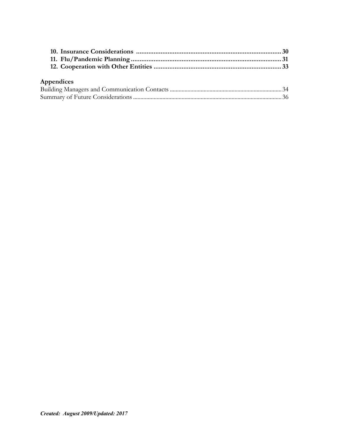# **Appendices**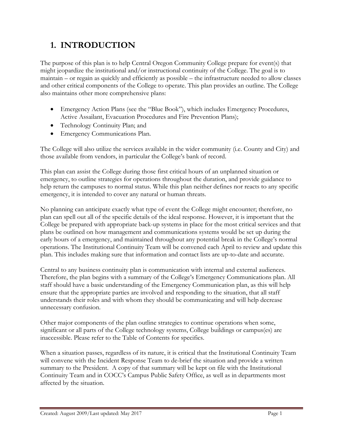# **1. INTRODUCTION**

The purpose of this plan is to help Central Oregon Community College prepare for event(s) that might jeopardize the institutional and/or instructional continuity of the College. The goal is to maintain – or regain as quickly and efficiently as possible – the infrastructure needed to allow classes and other critical components of the College to operate. This plan provides an outline. The College also maintains other more comprehensive plans:

- Emergency Action Plans (see the "Blue Book"), which includes Emergency Procedures, Active Assailant, Evacuation Procedures and Fire Prevention Plans);
- Technology Continuity Plan; and
- Emergency Communications Plan.

The College will also utilize the services available in the wider community (i.e. County and City) and those available from vendors, in particular the College's bank of record.

This plan can assist the College during those first critical hours of an unplanned situation or emergency, to outline strategies for operations throughout the duration, and provide guidance to help return the campuses to normal status. While this plan neither defines nor reacts to any specific emergency, it is intended to cover any natural or human threats.

No planning can anticipate exactly what type of event the College might encounter; therefore, no plan can spell out all of the specific details of the ideal response. However, it is important that the College be prepared with appropriate back-up systems in place for the most critical services and that plans be outlined on how management and communications systems would be set up during the early hours of a emergency, and maintained throughout any potential break in the College's normal operations. The Institutional Continuity Team will be convened each April to review and update this plan. This includes making sure that information and contact lists are up-to-date and accurate.

Central to any business continuity plan is communication with internal and external audiences. Therefore, the plan begins with a summary of the College's Emergency Communications plan. All staff should have a basic understanding of the Emergency Communication plan, as this will help ensure that the appropriate parties are involved and responding to the situation, that all staff understands their roles and with whom they should be communicating and will help decrease unnecessary confusion.

Other major components of the plan outline strategies to continue operations when some, significant or all parts of the College technology systems, College buildings or campus(es) are inaccessible. Please refer to the Table of Contents for specifics.

When a situation passes, regardless of its nature, it is critical that the Institutional Continuity Team will convene with the Incident Response Team to de-brief the situation and provide a written summary to the President. A copy of that summary will be kept on file with the Institutional Continuity Team and in COCC's Campus Public Safety Office, as well as in departments most affected by the situation.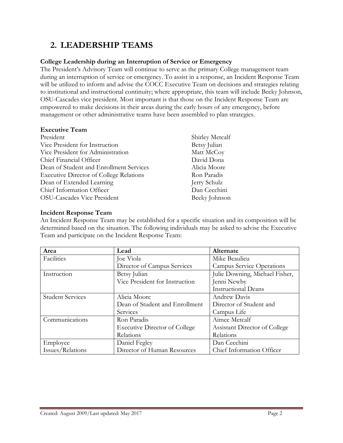# **2. LEADERSHIP TEAMS**

# **College Leadership during an Interruption of Service or Emergency**

The President's Advisory Team will continue to serve as the primary College management team during an interruption of service or emergency. To assist in a response, an Incident Response Team will be utilized to inform and advise the COCC Executive Team on decisions and strategies relating to institutional and instructional continuity; where appropriate, this team will include Becky Johnson, OSU-Cascades vice president. Most important is that those on the Incident Response Team are empowered to make decisions in their areas during the early hours of any emergency, before management or other administrative teams have been assembled to plan strategies.

#### **Executive Team**

| President                                      | Shirley Metcalf |
|------------------------------------------------|-----------------|
| Vice President for Instruction                 | Betsy Julian    |
| Vice President for Administration              | Matt McCoy      |
| Chief Financial Officer                        | David Dona      |
| Dean of Student and Enrollment Services        | Alicia Moore    |
| <b>Executive Director of College Relations</b> | Ron Paradis     |
| Dean of Extended Learning                      | Jerry Schulz    |
| Chief Information Officer                      | Dan Cecchini    |
| <b>OSU-Cascades Vice President</b>             | Becky Johnson   |

# **Incident Response Team**

An Incident Response Team may be established for a specific situation and its composition will be determined based on the situation. The following individuals may be asked to advise the Executive Team and participate on the Incident Response Team:

| Area                    | Lead                                 | Alternate                        |  |
|-------------------------|--------------------------------------|----------------------------------|--|
| Facilities              | Joe Viola                            | Mike Beaulieu                    |  |
|                         | Director of Campus Services          | <b>Campus Service Operations</b> |  |
| Instruction             | Betsy Julian                         | Julie Downing, Michael Fisher,   |  |
|                         | Vice President for Instruction       | Jenni Newby                      |  |
|                         |                                      | <b>Instructional Deans</b>       |  |
| <b>Student Services</b> | Alicia Moore                         | Andrew Davis                     |  |
|                         | Dean of Student and Enrollment       | Director of Student and          |  |
|                         | Services                             | Campus Life                      |  |
| Communications          | Ron Paradis                          | Aimee Metcalf                    |  |
|                         | <b>Executive Director of College</b> | Assistant Director of College    |  |
|                         | Relations                            | Relations                        |  |
| Employee                | Daniel Fegley                        | Dan Cecchini                     |  |
| Issues/Relations        | Director of Human Resources          | Chief Information Officer        |  |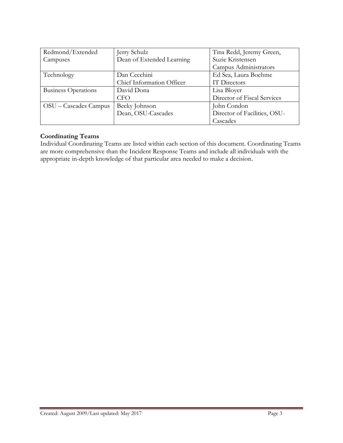| Redmond/Extended           | Jerry Schulz              | Tina Redd, Jeremy Green,     |
|----------------------------|---------------------------|------------------------------|
| Campuses                   | Dean of Extended Learning | Suzie Kristensen             |
|                            |                           | Campus Administrators        |
| Technology                 | Dan Cecchini              | Ed Sea, Laura Boehme         |
|                            | Chief Information Officer | IT Directors                 |
| <b>Business Operations</b> | David Dona                | Lisa Bloyer                  |
|                            | <b>CFO</b>                | Director of Fiscal Services  |
| OSU – Cascades Campus      | Becky Johnson             | John Condon                  |
|                            | Dean, OSU-Cascades        | Director of Facilities, OSU- |
|                            |                           | Cascades                     |

#### **Coordinating Teams**

Individual Coordinating Teams are listed within each section of this document. Coordinating Teams are more comprehensive than the Incident Response Teams and include all individuals with the appropriate in-depth knowledge of that particular area needed to make a decision.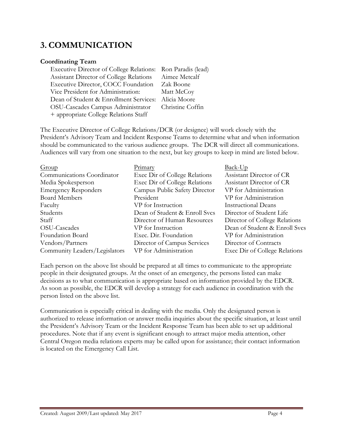# **3. COMMUNICATION**

# **Coordinating Team**

| Executive Director of College Relations: Ron Paradis (lead) |
|-------------------------------------------------------------|
| Assistant Director of College Relations Aimee Metcalf       |
| Executive Director, COCC Foundation Zak Boone               |
| Matt McCoy                                                  |
| Alicia Moore                                                |
| Christine Coffin                                            |
|                                                             |
| Dean of Student & Enrollment Services:                      |

The Executive Director of College Relations/DCR (or designee) will work closely with the President's Advisory Team and Incident Response Teams to determine what and when information should be communicated to the various audience groups. The DCR will direct all communications. Audiences will vary from one situation to the next, but key groups to keep in mind are listed below.

| <u>Primary</u>                | $Back-Up$                     |
|-------------------------------|-------------------------------|
| Exec Dir of College Relations | Assistant Director of CR      |
| Exec Dir of College Relations | Assistant Director of CR      |
| Campus Public Safety Director | VP for Administration         |
| President                     | VP for Administration         |
| VP for Instruction            | <b>Instructional Deans</b>    |
| Dean of Student & Enroll Svcs | Director of Student Life      |
| Director of Human Resources   | Director of College Relations |
| VP for Instruction            | Dean of Student & Enroll Svcs |
| Exec. Dir. Foundation         | VP for Administration         |
| Director of Campus Services   | Director of Contracts         |
| VP for Administration         | Exec Dir of College Relations |
|                               |                               |

Each person on the above list should be prepared at all times to communicate to the appropriate people in their designated groups. At the onset of an emergency, the persons listed can make decisions as to what communication is appropriate based on information provided by the EDCR. As soon as possible, the EDCR will develop a strategy for each audience in coordination with the person listed on the above list.

Communication is especially critical in dealing with the media. Only the designated person is authorized to release information or answer media inquiries about the specific situation, at least until the President's Advisory Team or the Incident Response Team has been able to set up additional procedures. Note that if any event is significant enough to attract major media attention, other Central Oregon media relations experts may be called upon for assistance; their contact information is located on the Emergency Call List.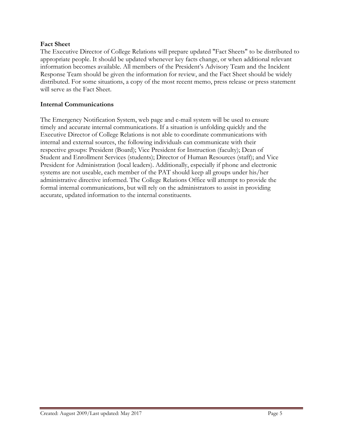#### **Fact Sheet**

The Executive Director of College Relations will prepare updated "Fact Sheets" to be distributed to appropriate people. It should be updated whenever key facts change, or when additional relevant information becomes available. All members of the President's Advisory Team and the Incident Response Team should be given the information for review, and the Fact Sheet should be widely distributed. For some situations, a copy of the most recent memo, press release or press statement will serve as the Fact Sheet.

#### **Internal Communications**

The Emergency Notification System, web page and e-mail system will be used to ensure timely and accurate internal communications. If a situation is unfolding quickly and the Executive Director of College Relations is not able to coordinate communications with internal and external sources, the following individuals can communicate with their respective groups: President (Board); Vice President for Instruction (faculty); Dean of Student and Enrollment Services (students); Director of Human Resources (staff); and Vice President for Administration (local leaders). Additionally, especially if phone and electronic systems are not useable, each member of the PAT should keep all groups under his/her administrative directive informed. The College Relations Office will attempt to provide the formal internal communications, but will rely on the administrators to assist in providing accurate, updated information to the internal constituents.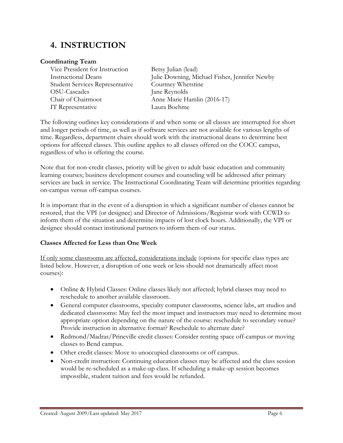# **4. INSTRUCTION**

# **Coordinating Team**

Vice President for Instruction Betsy Julian (lead) Student Services Representative Courtney Whetstine OSU-Cascades Jane Reynolds Chair of Chairmoot Anne Marie Hamlin (2016-17) IT Representative Laura Boehme

Instructional Deans Julie Downing, Michael Fisher, Jennifer Newby

The following outlines key considerations if and when some or all classes are interrupted for short and longer periods of time, as well as if software services are not available for various lengths of time. Regardless, department chairs should work with the instructional deans to determine best options for affected classes. This outline applies to all classes offered on the COCC campus, regardless of who is offering the course.

Note that for non-credit classes, priority will be given to adult basic education and community learning courses; business development courses and counseling will be addressed after primary services are back in service. The Instructional Coordinating Team will determine priorities regarding on-campus versus off-campus courses.

It is important that in the event of a disruption in which a significant number of classes cannot be restored, that the VPI (or designee) and Director of Admissions/Registrar work with CCWD to inform them of the situation and determine impacts of lost clock hours. Additionally, the VPI or designee should contact institutional partners to inform them of our status.

# **Classes Affected for Less than One Week**

If only some classrooms are affected, considerations include (options for specific class types are listed below. However, a disruption of one week or less should not dramatically affect most courses):

- Online & Hybrid Classes: Online classes likely not affected; hybrid classes may need to reschedule to another available classroom.
- General computer classrooms, specialty computer classrooms, science labs, art studios and dedicated classrooms: May feel the most impact and instructors may need to determine most appropriate option depending on the nature of the course: reschedule to secondary venue? Provide instruction in alternative format? Reschedule to alternate date?
- Redmond/Madras/Prineville credit classes: Consider renting space off-campus or moving classes to Bend campus.
- Other credit classes: Move to unoccupied classrooms or off campus.
- Non-credit instruction: Continuing education classes may be affected and the class session would be re-scheduled as a make-up class. If scheduling a make-up session becomes impossible, student tuition and fees would be refunded.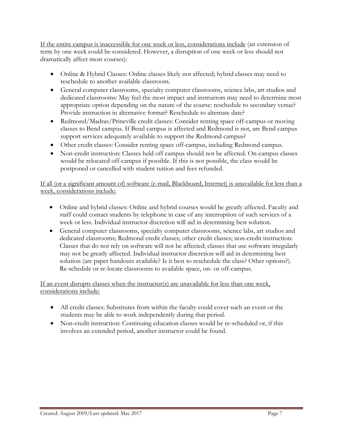If the entire campus is inaccessible for one week or less, considerations include (an extension of term by one week could be considered. However, a disruption of one week or less should not dramatically affect most courses):

- Online & Hybrid Classes: Online classes likely not affected; hybrid classes may need to reschedule to another available classroom.
- General computer classrooms, specialty computer classrooms, science labs, art studios and dedicated classrooms: May feel the most impact and instructors may need to determine most appropriate option depending on the nature of the course: reschedule to secondary venue? Provide instruction in alternative format? Reschedule to alternate date?
- Redmond/Madras/Prineville credit classes: Consider renting space off-campus or moving classes to Bend campus. If Bend campus is affected and Redmond is not, are Bend campus support services adequately available to support the Redmond campus?
- Other credit classes: Consider renting space off-campus, including Redmond campus.
- Non-credit instruction: Classes held off campus should not be affected. On-campus classes would be relocated off-campus if possible. If this is not possible, the class would be postponed or cancelled with student tuition and fees refunded.

If all (or a significant amount of) software (e-mail, Blackboard, Internet) is unavailable for less than a week, considerations include:

- Online and hybrid classes: Online and hybrid courses would be greatly affected. Faculty and staff could contact students by telephone in case of any interruption of such services of a week or less. Individual instructor discretion will aid in determining best solution.
- General computer classrooms, specialty computer classrooms, science labs, art studios and dedicated classrooms; Redmond credit classes; other credit classes; non-credit instruction: Classes that do not rely on software will not be affected; classes that use software irregularly may not be greatly affected. Individual instructor discretion will aid in determining best solution (are paper handouts available? Is it best to reschedule the class? Other options?). Re-schedule or re-locate classrooms to available space, on- or off-campus.

If an event disrupts classes when the instructor(s) are unavailable for less than one week, considerations include:

- All credit classes: Substitutes from within the faculty could cover such an event or the students may be able to work independently during that period.
- Non-credit instruction: Continuing education classes would be re-scheduled or, if this involves an extended period, another instructor could be found.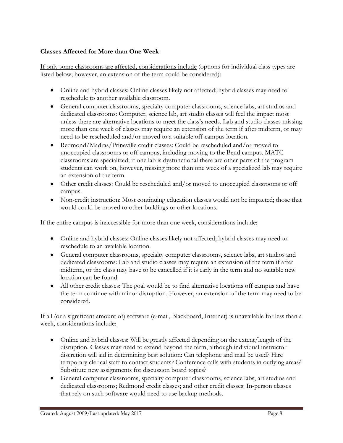# **Classes Affected for More than One Week**

If only some classrooms are affected, considerations include (options for individual class types are listed below; however, an extension of the term could be considered):

- Online and hybrid classes: Online classes likely not affected; hybrid classes may need to reschedule to another available classroom.
- General computer classrooms, specialty computer classrooms, science labs, art studios and dedicated classrooms: Computer, science lab, art studio classes will feel the impact most unless there are alternative locations to meet the class's needs. Lab and studio classes missing more than one week of classes may require an extension of the term if after midterm, or may need to be rescheduled and/or moved to a suitable off-campus location.
- Redmond/Madras/Prineville credit classes: Could be rescheduled and/or moved to unoccupied classrooms or off campus, including moving to the Bend campus. MATC classrooms are specialized; if one lab is dysfunctional there are other parts of the program students can work on, however, missing more than one week of a specialized lab may require an extension of the term.
- Other credit classes: Could be rescheduled and/or moved to unoccupied classrooms or off campus.
- Non-credit instruction: Most continuing education classes would not be impacted; those that would could be moved to other buildings or other locations.

If the entire campus is inaccessible for more than one week, considerations include:

- Online and hybrid classes: Online classes likely not affected; hybrid classes may need to reschedule to an available location.
- General computer classrooms, specialty computer classrooms, science labs, art studios and dedicated classrooms: Lab and studio classes may require an extension of the term if after midterm, or the class may have to be cancelled if it is early in the term and no suitable new location can be found.
- All other credit classes: The goal would be to find alternative locations off campus and have the term continue with minor disruption. However, an extension of the term may need to be considered.

#### If all (or a significant amount of) software (e-mail, Blackboard, Internet) is unavailable for less than a week, considerations include:

- Online and hybrid classes: Will be greatly affected depending on the extent/length of the disruption. Classes may need to extend beyond the term, although individual instructor discretion will aid in determining best solution: Can telephone and mail be used? Hire temporary clerical staff to contact students? Conference calls with students in outlying areas? Substitute new assignments for discussion board topics?
- General computer classrooms, specialty computer classrooms, science labs, art studios and dedicated classrooms; Redmond credit classes; and other credit classes: In-person classes that rely on such software would need to use backup methods.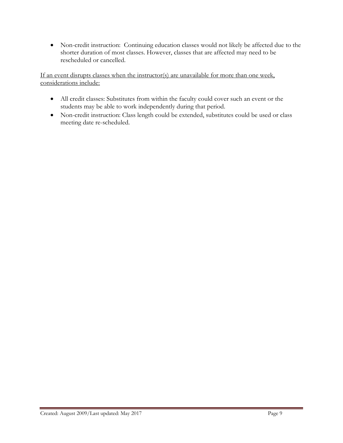• Non-credit instruction:Continuing education classes would not likely be affected due to the shorter duration of most classes. However, classes that are affected may need to be rescheduled or cancelled.

If an event disrupts classes when the instructor(s) are unavailable for more than one week, considerations include:

- All credit classes: Substitutes from within the faculty could cover such an event or the students may be able to work independently during that period.
- Non-credit instruction: Class length could be extended, substitutes could be used or class meeting date re-scheduled.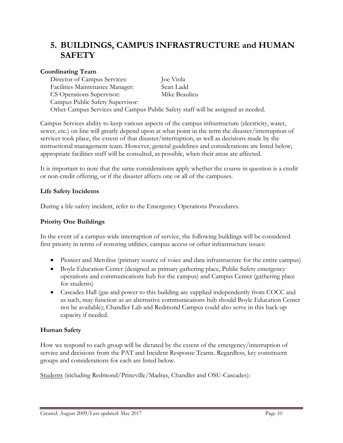# **5. BUILDINGS, CAMPUS INFRASTRUCTURE and HUMAN SAFETY**

# **Coordinating Team**

Director of Campus Services: Joe Viola Facilities Maintenance Manager: Sean Ladd CS Operations Supervisor: Mike Beaulieu Campus Public Safety Supervisor: Other Campus Services and Campus Public Safety staff will be assigned as needed.

Campus Services ability to keep various aspects of the campus infrastructure (electricity, water, sewer, etc.) on line will greatly depend upon at what point in the term the disaster/interruption of services took place, the extent of that disaster/interruption, as well as decisions made by the instructional management team. However, general guidelines and considerations are listed below; appropriate facilities staff will be consulted, as possible, when their areas are affected.

It is important to note that the same considerations apply whether the course in question is a credit or non-credit offering, or if the disaster affects one or all of the campuses.

# **Life Safety Incidents**

During a life-safety incident, refer to the Emergency Operations Procedures.

# **Priority One Buildings**

In the event of a campus-wide interruption of service, the following buildings will be considered first priority in terms of restoring utilities, campus access or other infrastructure issues:

- Pioneer and Metolius (primary source of voice and data infrastructure for the entire campus)
- Boyle Education Center (designed as primary gathering place, Public Safety emergency operations and communications hub for the campus) and Campus Center (gathering place for students)
- Cascades Hall (gas and power to this building are supplied independently from COCC and as such, may function as an alternative communications hub should Boyle Education Center not be available); Chandler Lab and Redmond Campus could also serve in this back-up capacity if needed.

# **Human Safety**

How we respond to each group will be dictated by the extent of the emergency/interruption of service and decisions from the PAT and Incident Response Teams. Regardless, key constituent groups and considerations for each are listed below.

Students (including Redmond/Prineville/Madras, Chandler and OSU-Cascades):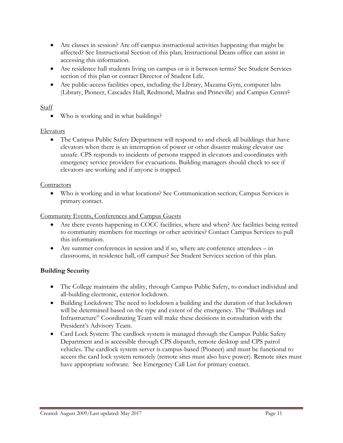- Are classes in session? Are off campus instructional activities happening that might be affected? See Instructional Section of this plan; Instructional Deans office can assist in accessing this information.
- Are residence hall students living on campus or is it between terms? See Student Services section of this plan or contact Director of Student Life.
- Are public-access facilities open, including the Library, Mazama Gym, computer labs (Library, Pioneer, Cascades Hall, Redmond, Madras and Prineville) and Campus Center?

# Staff

• Who is working and in what buildings?

# Elevators

• The Campus Public Safety Department will respond to and check all buildings that have elevators when there is an interruption of power or other disaster making elevator use unsafe. CPS responds to incidents of persons trapped in elevators and coordinates with emergency service providers for evacuations. Building managers should check to see if elevators are working and if anyone is trapped.

# **Contractors**

• Who is working and in what locations? See Communication section; Campus Services is primary contact.

# Community Events, Conferences and Campus Guests

- Are there events happening in COCC facilities, where and when? Are facilities being rented to community members for meetings or other activities? Contact Campus Services to pull this information.
- Are summer conferences in session and if so, where are conference attendees in classrooms, in residence hall, off campus? See Student Services section of this plan.

# **Building Security**

- The College maintains the ability, through Campus Public Safety, to conduct individual and all-building electronic, exterior lockdown.
- Building Lockdown: The need to lockdown a building and the duration of that lockdown will be determined based on the type and extent of the emergency. The "Buildings and Infrastructure" Coordinating Team will make these decisions in consultation with the President's Advisory Team.
- Card Lock System: The cardlock system is managed through the Campus Public Safety Department and is accessible through CPS dispatch, remote desktop and CPS patrol vehicles. The cardlock system server is campus-based (Pioneer) and must be functional to access the card lock system remotely (remote sites must also have power). Remote sites must have appropriate software. See Emergency Call List for primary contact.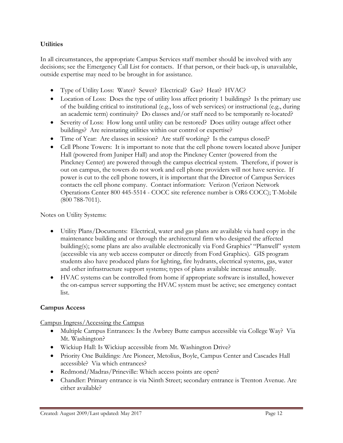# **Utilities**

In all circumstances, the appropriate Campus Services staff member should be involved with any decisions; see the Emergency Call List for contacts. If that person, or their back-up, is unavailable, outside expertise may need to be brought in for assistance.

- Type of Utility Loss: Water? Sewer? Electrical? Gas? Heat? HVAC?
- Location of Loss: Does the type of utility loss affect priority 1 buildings? Is the primary use of the building critical to institutional (e.g., loss of web services) or instructional (e.g., during an academic term) continuity? Do classes and/or staff need to be temporarily re-located?
- Severity of Loss: How long until utility can be restored? Does utility outage affect other buildings? Are reinstating utilities within our control or expertise?
- Time of Year: Are classes in session? Are staff working? Is the campus closed?
- Cell Phone Towers: It is important to note that the cell phone towers located above Juniper Hall (powered from Juniper Hall) and atop the Pinckney Center (powered from the Pinckney Center) are powered through the campus electrical system. Therefore, if power is out on campus, the towers do not work and cell phone providers will not have service. If power is cut to the cell phone towers, it is important that the Director of Campus Services contacts the cell phone company. Contact information: Verizon (Verizon Network Operations Center 800 445-5514 - COCC site reference number is OR6 COCC); T-Mobile (800 788-7011).

Notes on Utility Systems:

- Utility Plans/Documents: Electrical, water and gas plans are available via hard copy in the maintenance building and or through the architectural firm who designed the affected building(s); some plans are also available electronically via Ford Graphics' "Planwell" system (accessible via any web access computer or directly from Ford Graphics). GIS program students also have produced plans for lighting, fire hydrants, electrical systems, gas, water and other infrastructure support systems; types of plans available increase annually.
- HVAC systems can be controlled from home if appropriate software is installed, however the on-campus server supporting the HVAC system must be active; see emergency contact list.

# **Campus Access**

Campus Ingress/Accessing the Campus

- Multiple Campus Entrances: Is the Awbrey Butte campus accessible via College Way? Via Mt. Washington?
- Wickiup Hall: Is Wickiup accessible from Mt. Washington Drive?
- Priority One Buildings: Are Pioneer, Metolius, Boyle, Campus Center and Cascades Hall accessible? Via which entrances?
- Redmond/Madras/Prineville: Which access points are open?
- Chandler: Primary entrance is via Ninth Street; secondary entrance is Trenton Avenue. Are either available?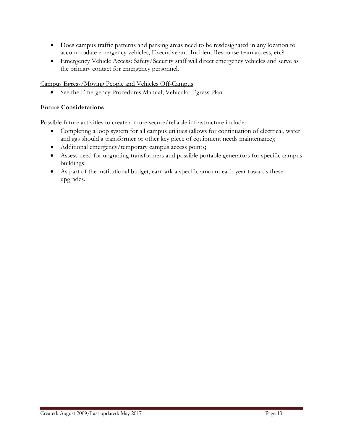- Does campus traffic patterns and parking areas need to be resdesignated in any location to accommodate emergency vehicles, Executive and Incident Response team access, etc?
- Emergency Vehicle Access: Safety/Security staff will direct emergency vehicles and serve as the primary contact for emergency personnel.

Campus Egress/Moving People and Vehicles Off-Campus

• See the Emergency Procedures Manual, Vehicular Egress Plan.

# **Future Considerations**

Possible future activities to create a more secure/reliable infrastructure include:

- Completing a loop system for all campus utilities (allows for continuation of electrical, water and gas should a transformer or other key piece of equipment needs maintenance);
- Additional emergency/temporary campus access points;
- Assess need for upgrading transformers and possible portable generators for specific campus buildings;
- As part of the institutional budget, earmark a specific amount each year towards these upgrades.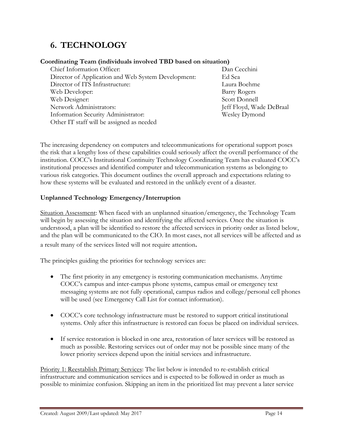# **6. TECHNOLOGY**

#### **Coordinating Team (individuals involved TBD based on situation)**

| Chief Information Officer:                          | Dan Co   |
|-----------------------------------------------------|----------|
| Director of Application and Web System Development: | Ed Sea   |
| Director of ITS Infrastructure:                     | Laura l  |
| Web Developer:                                      | Barry F  |
| Web Designer:                                       | Scott L  |
| Network Administrators:                             | Jeff Flo |
| Information Security Administrator:                 | Wesley   |
| Other IT staff will be assigned as needed           |          |
|                                                     |          |

Dan Cecchini Laura Boehme Barry Rogers Scott Donnell Jeff Floyd, Wade DeBraal Wesley Dymond

The increasing dependency on computers and telecommunications for operational support poses the risk that a lengthy loss of these capabilities could seriously affect the overall performance of the institution. COCC's Institutional Continuity Technology Coordinating Team has evaluated COCC's institutional processes and identified computer and telecommunication systems as belonging to various risk categories. This document outlines the overall approach and expectations relating to how these systems will be evaluated and restored in the unlikely event of a disaster.

# **Unplanned Technology Emergency/Interruption**

Situation Assessment: When faced with an unplanned situation/emergency, the Technology Team will begin by assessing the situation and identifying the affected services. Once the situation is understood, a plan will be identified to restore the affected services in priority order as listed below, and the plan will be communicated to the CIO. In most cases, not all services will be affected and as a result many of the services listed will not require attention.

The principles guiding the priorities for technology services are:

- The first priority in any emergency is restoring communication mechanisms. Anytime COCC's campus and inter-campus phone systems, campus email or emergency text messaging systems are not fully operational, campus radios and college/personal cell phones will be used (see Emergency Call List for contact information).
- COCC's core technology infrastructure must be restored to support critical institutional systems. Only after this infrastructure is restored can focus be placed on individual services.
- If service restoration is blocked in one area, restoration of later services will be restored as much as possible. Restoring services out of order may not be possible since many of the lower priority services depend upon the initial services and infrastructure.

Priority 1: Reestablish Primary Services: The list below is intended to re-establish critical infrastructure and communication services and is expected to be followed in order as much as possible to minimize confusion. Skipping an item in the prioritized list may prevent a later service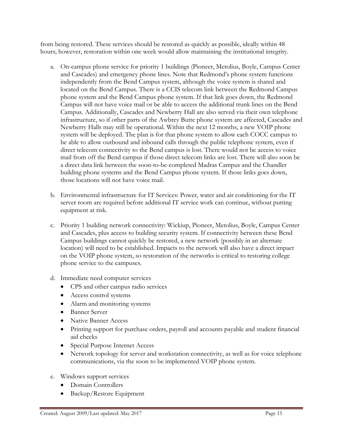from being restored. These services should be restored as quickly as possible, ideally within 48 hours; however, restoration within one week would allow maintaining the institutional integrity.

- a. On-campus phone service for priority 1 buildings (Pioneer, Metolius, Boyle, Campus Center and Cascades) and emergency phone lines. Note that Redmond's phone system functions independently from the Bend Campus system, although the voice system is shared and located on the Bend Campus. There is a CCIS telecom link between the Redmond Campus phone system and the Bend Campus phone system. If that link goes down, the Redmond Campus will not have voice mail or be able to access the additional trunk lines on the Bend Campus. Additionally, Cascades and Newberry Hall are also served via their own telephone infrastructure, so if other parts of the Awbrey Butte phone system are affected, Cascades and Newberry Halls may still be operational. Within the next 12 months, a new VOIP phone system will be deployed. The plan is for that phone system to allow each COCC campus to be able to allow outbound and inbound calls through the public telephone system, even if direct telecom connectivity to the Bend campus is lost. There would not be access to voice mail from off the Bend campus if those direct telecom links are lost. There will also soon be a direct data link between the soon-to-be-completed Madras Campus and the Chandler building phone systems and the Bend Campus phone system. If those links goes down, those locations will not have voice mail.
- b. Environmental infrastructure for IT Services: Power, water and air conditioning for the IT server room are required before additional IT service work can continue, without putting equipment at risk.
- c. Priority 1 building network connectivity: Wickiup, Pioneer, Metolius, Boyle, Campus Center and Cascades, plus access to building security system. If connectivity between these Bend Campus buildings cannot quickly be restored, a new network (possibly in an alternate location) will need to be established. Impacts to the network will also have a direct impact on the VOIP phone system, so restoration of the networks is critical to restoring college phone service to the campuses.
- d. Immediate need computer services
	- CPS and other campus radio services
	- Access control systems
	- Alarm and monitoring systems
	- Banner Server
	- Native Banner Access
	- Printing support for purchase orders, payroll and accounts payable and student financial aid checks
	- Special Purpose Internet Access
	- Network topology for server and workstation connectivity, as well as for voice telephone communications, via the soon to be implemented VOIP phone system.
- e. Windows support services
	- Domain Controllers
	- Backup/Restore Equipment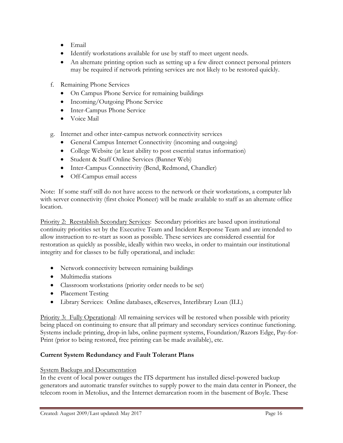- Email
- Identify workstations available for use by staff to meet urgent needs.
- An alternate printing option such as setting up a few direct connect personal printers may be required if network printing services are not likely to be restored quickly.
- f. Remaining Phone Services
	- On Campus Phone Service for remaining buildings
	- Incoming/Outgoing Phone Service
	- Inter-Campus Phone Service
	- Voice Mail
- g. Internet and other inter-campus network connectivity services
	- General Campus Internet Connectivity (incoming and outgoing)
	- College Website (at least ability to post essential status information)
	- Student & Staff Online Services (Banner Web)
	- Inter-Campus Connectivity (Bend, Redmond, Chandler)
	- Off-Campus email access

Note: If some staff still do not have access to the network or their workstations, a computer lab with server connectivity (first choice Pioneer) will be made available to staff as an alternate office location.

Priority 2: Reestablish Secondary Services: Secondary priorities are based upon institutional continuity priorities set by the Executive Team and Incident Response Team and are intended to allow instruction to re-start as soon as possible. These services are considered essential for restoration as quickly as possible, ideally within two weeks, in order to maintain our institutional integrity and for classes to be fully operational, and include:

- Network connectivity between remaining buildings
- Multimedia stations
- Classroom workstations (priority order needs to be set)
- Placement Testing
- Library Services: Online databases, eReserves, Interlibrary Loan (ILL)

Priority 3: Fully Operational: All remaining services will be restored when possible with priority being placed on continuing to ensure that all primary and secondary services continue functioning. Systems include printing, drop-in labs, online payment systems, Foundation/Razors Edge, Pay-for-Print (prior to being restored, free printing can be made available), etc.

# **Current System Redundancy and Fault Tolerant Plans**

#### System Backups and Documentation

In the event of local power outages the ITS department has installed diesel-powered backup generators and automatic transfer switches to supply power to the main data center in Pioneer, the telecom room in Metolius, and the Internet demarcation room in the basement of Boyle. These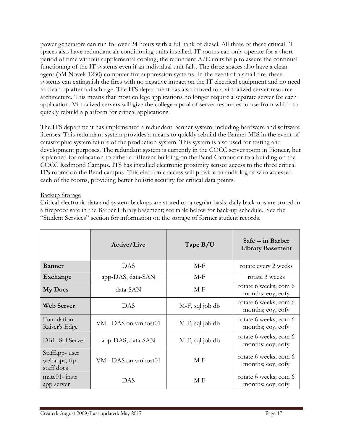power generators can run for over 24 hours with a full tank of diesel. All three of these critical IT spaces also have redundant air conditioning units installed. IT rooms can only operate for a short period of time without supplemental cooling, the redundant A/C units help to assure the continual functioning of the IT systems even if an individual unit fails. The three spaces also have a clean agent (3M Novek 1230) computer fire suppression systems. In the event of a small fire, these systems can extinguish the fires with no negative impact on the IT electrical equipment and no need to clean up after a discharge. The ITS department has also moved to a virtualized server resource architecture. This means that most college applications no longer require a separate server for each application. Virtualized servers will give the college a pool of server resources to use from which to quickly rebuild a platform for critical applications.

The ITS department has implemented a redundant Banner system, including hardware and software licenses. This redundant system provides a means to quickly rebuild the Banner MIS in the event of catastrophic system failure of the production system. This system is also used for testing and development purposes. The redundant system is currently in the COCC server room in Pioneer, but is planned for relocation to either a different building on the Bend Campus or to a building on the COCC Redmond Campus. ITS has installed electronic proximity sensor access to the three critical ITS rooms on the Bend campus. This electronic access will provide an audit log of who accessed each of the rooms, providing better holistic security for critical data points.

#### Backup Storage

Critical electronic data and system backups are stored on a regular basis; daily back-ups are stored in a fireproof safe in the Barber Library basement; see table below for back-up schedule. See the "Student Services" section for information on the storage of former student records.

|                                             | Active/Live          | Tape $B/U$      | Safe -- in Barber<br><b>Library Basement</b> |
|---------------------------------------------|----------------------|-----------------|----------------------------------------------|
| <b>Banner</b>                               | <b>DAS</b>           | $M-F$           | rotate every 2 weeks                         |
| Exchange                                    | app-DAS, data-SAN    | M-F             | rotate 3 weeks                               |
| <b>My Docs</b>                              | data-SAN             | M-F             | rotate 6 weeks; eom 6<br>months; eoy, eofy   |
| <b>Web Server</b>                           | DAS                  | M-F, sql job db | rotate 6 weeks; eom 6<br>months; eoy, eofy   |
| Foundation -<br>Raiser's Edge               | VM - DAS on vmhost01 | M-F, sql job db | rotate 6 weeks; eom 6<br>months; eoy, eofy   |
| DB1- Sql Server                             | app-DAS, data-SAN    | M-F, sql job db | rotate 6 weeks; eom 6<br>months; eoy, eofy   |
| Staffapp-user<br>webapps, ftp<br>staff docs | VM - DAS on vmhost01 | $M-F$           | rotate 6 weeks; eom 6<br>months; eoy, eofy   |
| $m \times 01 -$ instr<br>app server         | DAS                  | $M-F$           | rotate 6 weeks; eom 6<br>months; eoy, eofy   |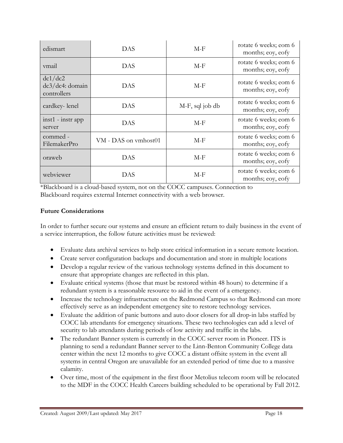| edismart                                  | DAS                  | $M-F$           | rotate 6 weeks; eom 6<br>months; eoy, eofy |
|-------------------------------------------|----------------------|-----------------|--------------------------------------------|
| vmail                                     | DAS                  | $M-F$           | rotate 6 weeks; eom 6<br>months; eoy, eofy |
| dc1/dc2<br>dc3/dc4: domain<br>controllers | DAS                  | $M-F$           | rotate 6 weeks; eom 6<br>months; eoy, eofy |
| cardkey-lenel                             | DAS                  | M-F, sql job db | rotate 6 weeks; eom 6<br>months; eoy, eofy |
| $inst1 - instr$ app<br>server             | DAS                  | $M-F$           | rotate 6 weeks; eom 6<br>months; eoy, eofy |
| commed -<br>FilemakerPro                  | VM - DAS on vmhost01 | $M-F$           | rotate 6 weeks; eom 6<br>months; eoy, eofy |
| oraweb                                    | DAS                  | $M-F$           | rotate 6 weeks; eom 6<br>months; eoy, eofy |
| webviewer                                 | DAS                  | $M-F$           | rotate 6 weeks; eom 6<br>months; eoy, eofy |

\*Blackboard is a cloud-based system, not on the COCC campuses. Connection to Blackboard requires external Internet connectivity with a web browser.

# **Future Considerations**

In order to further secure our systems and ensure an efficient return to daily business in the event of a service interruption, the follow future activities must be reviewed:

- Evaluate data archival services to help store critical information in a secure remote location.
- Create server configuration backups and documentation and store in multiple locations
- Develop a regular review of the various technology systems defined in this document to ensure that appropriate changes are reflected in this plan.
- Evaluate critical systems (those that must be restored within 48 hours) to determine if a redundant system is a reasonable resource to aid in the event of a emergency.
- Increase the technology infrastructure on the Redmond Campus so that Redmond can more effectively serve as an independent emergency site to restore technology services.
- Evaluate the addition of panic buttons and auto door closers for all drop-in labs staffed by COCC lab attendants for emergency situations. These two technologies can add a level of security to lab attendants during periods of low activity and traffic in the labs.
- The redundant Banner system is currently in the COCC server room in Pioneer. ITS is planning to send a redundant Banner server to the Linn-Benton Community College data center within the next 12 months to give COCC a distant offsite system in the event all systems in central Oregon are unavailable for an extended period of time due to a massive calamity.
- Over time, most of the equipment in the first floor Metolius telecom room will be relocated to the MDF in the COCC Health Careers building scheduled to be operational by Fall 2012.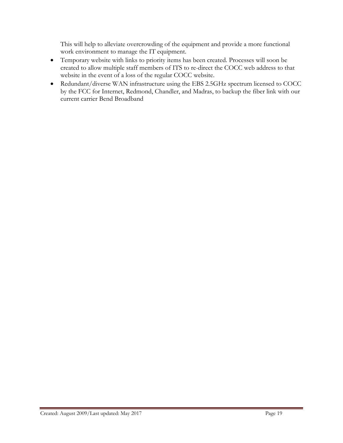This will help to alleviate overcrowding of the equipment and provide a more functional work environment to manage the IT equipment.

- Temporary website with links to priority items has been created. Processes will soon be created to allow multiple staff members of ITS to re-direct the COCC web address to that website in the event of a loss of the regular COCC website.
- Redundant/diverse WAN infrastructure using the EBS 2.5GHz spectrum licensed to COCC by the FCC for Internet, Redmond, Chandler, and Madras, to backup the fiber link with our current carrier Bend Broadband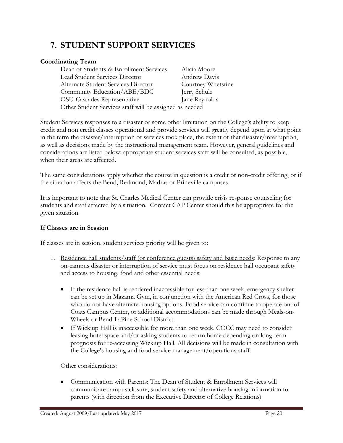# **7. STUDENT SUPPORT SERVICES**

# **Coordinating Team**

| Dean of Students & Enrollment Services                  | Alicia Moore       |  |
|---------------------------------------------------------|--------------------|--|
| <b>Lead Student Services Director</b>                   | Andrew Davis       |  |
| Alternate Student Services Director                     | Courtney Whetstine |  |
| Community Education/ABE/BDC                             | Jerry Schulz       |  |
| OSU-Cascades Representative                             | Jane Reynolds      |  |
| Other Student Services staff will be assigned as needed |                    |  |

Student Services responses to a disaster or some other limitation on the College's ability to keep credit and non credit classes operational and provide services will greatly depend upon at what point in the term the disaster/interruption of services took place, the extent of that disaster/interruption, as well as decisions made by the instructional management team. However, general guidelines and considerations are listed below; appropriate student services staff will be consulted, as possible, when their areas are affected.

The same considerations apply whether the course in question is a credit or non-credit offering, or if the situation affects the Bend, Redmond, Madras or Prineville campuses.

It is important to note that St. Charles Medical Center can provide crisis response counseling for students and staff affected by a situation. Contact CAP Center should this be appropriate for the given situation.

# **If Classes are in Session**

If classes are in session, student services priority will be given to:

- 1. Residence hall students/staff (or conference guests) safety and basic needs: Response to any on-campus disaster or interruption of service must focus on residence hall occupant safety and access to housing, food and other essential needs:
	- If the residence hall is rendered inaccessible for less than one week, emergency shelter can be set up in Mazama Gym, in conjunction with the American Red Cross, for those who do not have alternate housing options. Food service can continue to operate out of Coats Campus Center, or additional accommodations can be made through Meals-on-Wheels or Bend-LaPine School District.
	- If Wickiup Hall is inaccessible for more than one week, COCC may need to consider leasing hotel space and/or asking students to return home depending on long-term prognosis for re-accessing Wickiup Hall. All decisions will be made in consultation with the College's housing and food service management/operations staff.

Other considerations:

• Communication with Parents: The Dean of Student & Enrollment Services will communicate campus closure, student safety and alternative housing information to parents (with direction from the Executive Director of College Relations)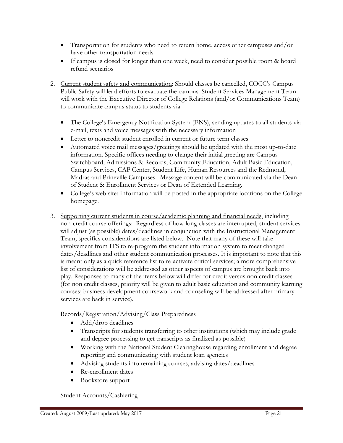- Transportation for students who need to return home, access other campuses and/or have other transportation needs
- If campus is closed for longer than one week, need to consider possible room & board refund scenarios
- 2. Current student safety and communication: Should classes be cancelled, COCC's Campus Public Safety will lead efforts to evacuate the campus. Student Services Management Team will work with the Executive Director of College Relations (and/or Communications Team) to communicate campus status to students via:
	- The College's Emergency Notification System (ENS), sending updates to all students via e-mail, texts and voice messages with the necessary information
	- Letter to noncredit student enrolled in current or future term classes
	- Automated voice mail messages/greetings should be updated with the most up-to-date information. Specific offices needing to change their initial greeting are Campus Switchboard, Admissions & Records, Community Education, Adult Basic Education, Campus Services, CAP Center, Student Life, Human Resources and the Redmond, Madras and Prineville Campuses. Message content will be communicated via the Dean of Student & Enrollment Services or Dean of Extended Learning.
	- College's web site: Information will be posted in the appropriate locations on the College homepage.
- 3. Supporting current students in course/academic planning and financial needs, including non-credit course offerings: Regardless of how long classes are interrupted, student services will adjust (as possible) dates/deadlines in conjunction with the Instructional Management Team; specifics considerations are listed below. Note that many of these will take involvement from ITS to re-program the student information system to meet changed dates/deadlines and other student communication processes. It is important to note that this is meant only as a quick reference list to re-activate critical services; a more comprehensive list of considerations will be addressed as other aspects of campus are brought back into play. Responses to many of the items below will differ for credit versus non credit classes (for non credit classes, priority will be given to adult basic education and community learning courses; business development coursework and counseling will be addressed after primary services are back in service).

Records/Registration/Advising/Class Preparedness

- Add/drop deadlines
- Transcripts for students transferring to other institutions (which may include grade and degree processing to get transcripts as finalized as possible)
- Working with the National Student Clearinghouse regarding enrollment and degree reporting and communicating with student loan agencies
- Advising students into remaining courses, advising dates/deadlines
- Re-enrollment dates
- Bookstore support

Student Accounts/Cashiering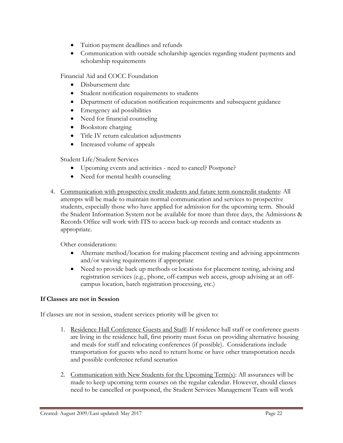- Tuition payment deadlines and refunds
- Communication with outside scholarship agencies regarding student payments and scholarship requirements

Financial Aid and COCC Foundation

- Disbursement date
- Student notification requirements to students
- Department of education notification requirements and subsequent guidance
- Emergency aid possibilities
- Need for financial counseling
- Bookstore charging
- Title IV return calculation adjustments
- Increased volume of appeals

Student Life/Student Services

- Upcoming events and activities need to cancel? Postpone?
- Need for mental health counseling
- 4. Communication with prospective credit students and future term noncredit students: All attempts will be made to maintain normal communication and services to prospective students, especially those who have applied for admission for the upcoming term. Should the Student Information System not be available for more than three days, the Admissions & Records Office will work with ITS to access back-up records and contact students as appropriate.

Other considerations:

- Alternate method/location for making placement testing and advising appointments and/or waiving requirements if appropriate
- Need to provide back up methods or locations for placement testing, advising and registration services (e.g., phone, off-campus web access, group advising at an offcampus location, batch registration processing, etc.)

# **If Classes are not in Session**

If classes are not in session, student services priority will be given to:

- 1. Residence Hall Conference Guests and Staff: If residence hall staff or conference guests are living in the residence hall, first priority must focus on providing alternative housing and meals for staff and relocating conferences (if possible). Considerations include transportation for guests who need to return home or have other transportation needs and possible conference refund scenarios
- 2. Communication with New Students for the Upcoming Term(s): All assurances will be made to keep upcoming term courses on the regular calendar. However, should classes need to be cancelled or postponed, the Student Services Management Team will work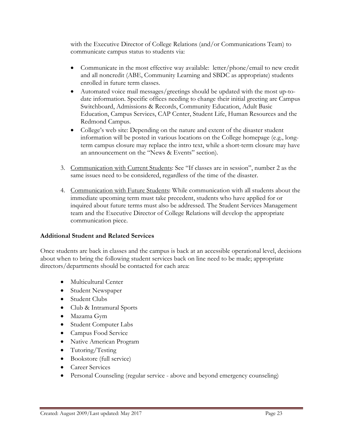with the Executive Director of College Relations (and/or Communications Team) to communicate campus status to students via:

- Communicate in the most effective way available: letter/phone/email to new credit and all noncredit (ABE, Community Learning and SBDC as appropriate) students enrolled in future term classes.
- Automated voice mail messages/greetings should be updated with the most up-todate information. Specific offices needing to change their initial greeting are Campus Switchboard, Admissions & Records, Community Education, Adult Basic Education, Campus Services, CAP Center, Student Life, Human Resources and the Redmond Campus.
- College's web site: Depending on the nature and extent of the disaster student information will be posted in various locations on the College homepage (e.g., longterm campus closure may replace the intro text, while a short-term closure may have an announcement on the "News & Events" section).
- 3. Communication with Current Students: See "If classes are in session", number 2 as the same issues need to be considered, regardless of the time of the disaster.
- 4. Communication with Future Students: While communication with all students about the immediate upcoming term must take precedent, students who have applied for or inquired about future terms must also be addressed. The Student Services Management team and the Executive Director of College Relations will develop the appropriate communication piece.

# **Additional Student and Related Services**

Once students are back in classes and the campus is back at an accessible operational level, decisions about when to bring the following student services back on line need to be made; appropriate directors/departments should be contacted for each area:

- Multicultural Center
- Student Newspaper
- Student Clubs
- Club & Intramural Sports
- Mazama Gym
- Student Computer Labs
- Campus Food Service
- Native American Program
- Tutoring/Testing
- Bookstore (full service)
- Career Services
- Personal Counseling (regular service above and beyond emergency counseling)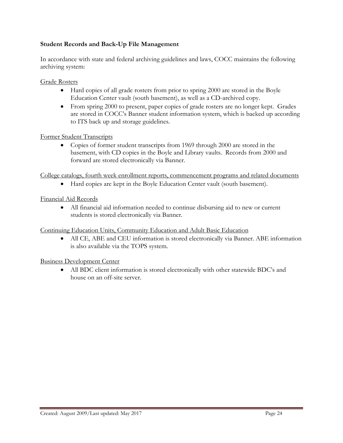# **Student Records and Back-Up File Management**

In accordance with state and federal archiving guidelines and laws, COCC maintains the following archiving system:

Grade Rosters

- Hard copies of all grade rosters from prior to spring 2000 are stored in the Boyle Education Center vault (south basement), as well as a CD-archived copy.
- From spring 2000 to present, paper copies of grade rosters are no longer kept. Grades are stored in COCC's Banner student information system, which is backed up according to ITS back up and storage guidelines.

#### Former Student Transcripts

• Copies of former student transcripts from 1969 through 2000 are stored in the basement, with CD copies in the Boyle and Library vaults. Records from 2000 and forward are stored electronically via Banner.

College catalogs, fourth week enrollment reports, commencement programs and related documents

• Hard copies are kept in the Boyle Education Center vault (south basement).

#### Financial Aid Records

• All financial aid information needed to continue disbursing aid to new or current students is stored electronically via Banner.

#### Continuing Education Units, Community Education and Adult Basic Education

• All CE, ABE and CEU information is stored electronically via Banner. ABE information is also available via the TOPS system.

Business Development Center

• All BDC client information is stored electronically with other statewide BDC's and house on an off-site server.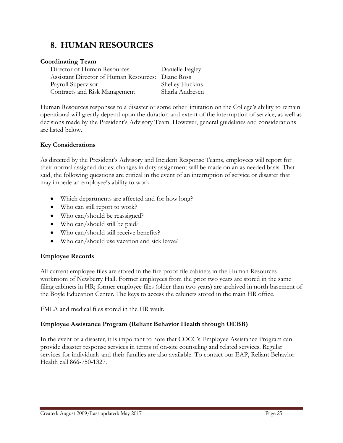# **8. HUMAN RESOURCES**

# **Coordinating Team**

| Danielle Fegley                                   |
|---------------------------------------------------|
| Assistant Director of Human Resources: Diane Ross |
| Shelley Huckins                                   |
| Sharla Andresen                                   |
|                                                   |

Human Resources responses to a disaster or some other limitation on the College's ability to remain operational will greatly depend upon the duration and extent of the interruption of service, as well as decisions made by the President's Advisory Team. However, general guidelines and considerations are listed below.

# **Key Considerations**

As directed by the President's Advisory and Incident Response Teams, employees will report for their normal assigned duties; changes in duty assignment will be made on an as needed basis. That said, the following questions are critical in the event of an interruption of service or disaster that may impede an employee's ability to work:

- Which departments are affected and for how long?
- Who can still report to work?
- Who can/should be reassigned?
- Who can/should still be paid?
- Who can/should still receive benefits?
- Who can/should use vacation and sick leave?

# **Employee Records**

All current employee files are stored in the fire-proof file cabinets in the Human Resources workroom of Newberry Hall. Former employees from the prior two years are stored in the same filing cabinets in HR; former employee files (older than two years) are archived in north basement of the Boyle Education Center. The keys to access the cabinets stored in the main HR office.

FMLA and medical files stored in the HR vault.

# **Employee Assistance Program (Reliant Behavior Health through OEBB)**

In the event of a disaster, it is important to note that COCC's Employee Assistance Program can provide disaster response services in terms of on-site counseling and related services. Regular services for individuals and their families are also available. To contact our EAP, Reliant Behavior Health call 866-750-1327.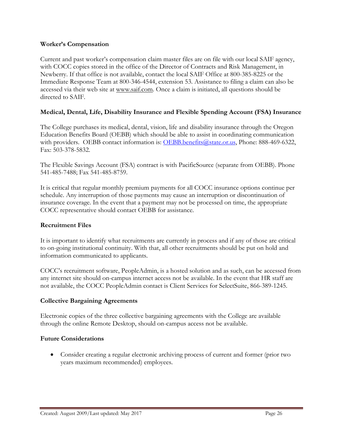#### **Worker's Compensation**

Current and past worker's compensation claim master files are on file with our local SAIF agency, with COCC copies stored in the office of the Director of Contracts and Risk Management, in Newberry. If that office is not available, contact the local SAIF Office at 800-385-8225 or the Immediate Response Team at 800-346-4544, extension 53. Assistance to filing a claim can also be accessed via their web site at www.saif.com. Once a claim is initiated, all questions should be directed to SAIF.

# **Medical, Dental, Life, Disability Insurance and Flexible Spending Account (FSA) Insurance**

The College purchases its medical, dental, vision, life and disability insurance through the Oregon Education Benefits Board (OEBB) which should be able to assist in coordinating communication with providers. OEBB contact information is: OEBB.benefits@state.or.us, Phone: 888-469-6322, Fax: 503-378-5832.

The Flexible Savings Account (FSA) contract is with PacificSource (separate from OEBB). Phone 541-485-7488; Fax 541-485-8759.

It is critical that regular monthly premium payments for all COCC insurance options continue per schedule. Any interruption of those payments may cause an interruption or discontinuation of insurance coverage. In the event that a payment may not be processed on time, the appropriate COCC representative should contact OEBB for assistance.

#### **Recruitment Files**

It is important to identify what recruitments are currently in process and if any of those are critical to on-going institutional continuity. With that, all other recruitments should be put on hold and information communicated to applicants.

COCC's recruitment software, PeopleAdmin, is a hosted solution and as such, can be accessed from any internet site should on-campus internet access not be available. In the event that HR staff are not available, the COCC PeopleAdmin contact is Client Services for SelectSuite, 866-389-1245.

#### **Collective Bargaining Agreements**

Electronic copies of the three collective bargaining agreements with the College are available through the online Remote Desktop, should on-campus access not be available.

#### **Future Considerations**

• Consider creating a regular electronic archiving process of current and former (prior two years maximum recommended) employees.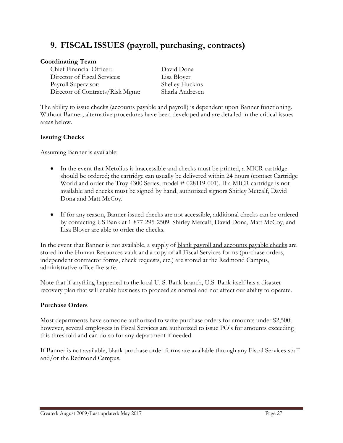# **9. FISCAL ISSUES (payroll, purchasing, contracts)**

# **Coordinating Team**

Chief Financial Officer: David Dona Director of Fiscal Services: Lisa Bloyer Payroll Supervisor: Shelley Huckins Director of Contracts/Risk Mgmt: Sharla Andresen

The ability to issue checks (accounts payable and payroll) is dependent upon Banner functioning. Without Banner, alternative procedures have been developed and are detailed in the critical issues areas below.

# **Issuing Checks**

Assuming Banner is available:

- In the event that Metolius is inaccessible and checks must be printed, a MICR cartridge should be ordered; the cartridge can usually be delivered within 24 hours (contact Cartridge World and order the Troy 4300 Series, model # 028119-001). If a MICR cartridge is not available and checks must be signed by hand, authorized signors Shirley Metcalf, David Dona and Matt McCoy.
- If for any reason, Banner-issued checks are not accessible, additional checks can be ordered by contacting US Bank at 1-877-295-2509. Shirley Metcalf, David Dona, Matt McCoy, and Lisa Bloyer are able to order the checks.

In the event that Banner is not available, a supply of <u>blank payroll and accounts payable checks</u> are stored in the Human Resources vault and a copy of all Fiscal Services forms (purchase orders, independent contractor forms, check requests, etc.) are stored at the Redmond Campus, administrative office fire safe.

Note that if anything happened to the local U. S. Bank branch, U.S. Bank itself has a disaster recovery plan that will enable business to proceed as normal and not affect our ability to operate.

# **Purchase Orders**

Most departments have someone authorized to write purchase orders for amounts under \$2,500; however, several employees in Fiscal Services are authorized to issue PO's for amounts exceeding this threshold and can do so for any department if needed.

If Banner is not available, blank purchase order forms are available through any Fiscal Services staff and/or the Redmond Campus.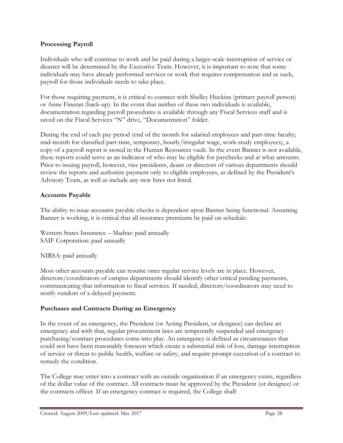# **Processing Payroll**

Individuals who will continue to work and be paid during a larger-scale interruption of service or disaster will be determined by the Executive Team. However, it is important to note that some individuals may have already performed services or work that requires compensation and as such, payroll for those individuals needs to take place.

For those requiring payment, it is critical to connect with Shelley Huckins (primary payroll person) or Anne Fineran (back-up). In the event that neither of these two individuals is available, documentation regarding payroll procedures is available through any Fiscal Services staff and is saved on the Fiscal Services "N" drive, "Documentation" folder.

During the end of each pay period (end of the month for salaried employees and part-time faculty; mid-month for classified part-time, temporary, hourly/irregular wage, work-study employees), a copy of a payroll report is stored in the Human Resources vault. In the event Banner is not available, these reports could serve as an indicator of who may be eligible for paychecks and at what amounts. Prior to issuing payroll, however, vice presidents, deans or directors of various departments should review the reports and authorize payment only to eligible employees, as defined by the President's Advisory Team, as well as include any new hires not listed.

# **Accounts Payable**

The ability to issue accounts payable checks is dependent upon Banner being functional. Assuming Banner is working, it is critical that all insurance premiums be paid on schedule:

Western States Insurance – Madras: paid annually SAIF Corporation: paid annually

# NIRSA: paid annually

Most other accounts payable can resume once regular service levels are in place. However, directors/coordinators of campus departments should identify other critical pending payments, communicating that information to fiscal services. If needed, directors/coordinators may need to notify vendors of a delayed payment.

# **Purchases and Contracts During an Emergency**

In the event of an emergency, the President (or Acting President, or designee) can declare an emergency and with that, regular procurement laws are temporarily suspended and emergency purchasing/contract procedures come into play. An emergency is defined as circumstances that could not have been reasonably foreseen which create a substantial risk of loss, damage interruption of service or threat to public health, welfare or safety, and require prompt execution of a contract to remedy the condition.

The College may enter into a contract with an outside organization if an emergency exists, regardless of the dollar value of the contract. All contracts must be approved by the President (or designee) or the contracts officer. If an emergency contract is required, the College shall: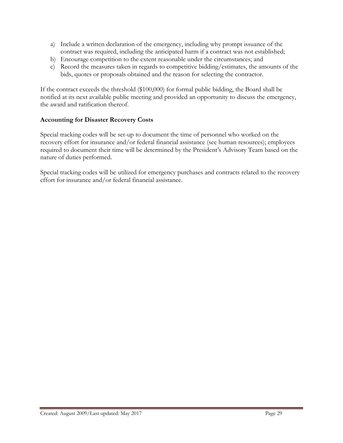- a) Include a written declaration of the emergency, including why prompt issuance of the contract was required, including the anticipated harm if a contract was not established;
- b) Encourage competition to the extent reasonable under the circumstances; and
- c) Record the measures taken in regards to competitive bidding/estimates, the amounts of the bids, quotes or proposals obtained and the reason for selecting the contractor.

If the contract exceeds the threshold (\$100,000) for formal public bidding, the Board shall be notified at its next available public meeting and provided an opportunity to discuss the emergency, the award and ratification thereof.

# **Accounting for Disaster Recovery Costs**

Special tracking codes will be set-up to document the time of personnel who worked on the recovery effort for insurance and/or federal financial assistance (see human resources); employees required to document their time will be determined by the President's Advisory Team based on the nature of duties performed.

Special tracking codes will be utilized for emergency purchases and contracts related to the recovery effort for insurance and/or federal financial assistance.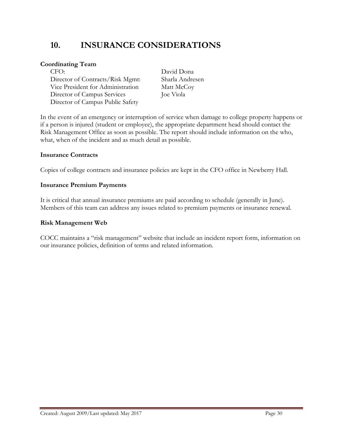# **10. INSURANCE CONSIDERATIONS**

# **Coordinating Team**

CFO: David Dona Director of Contracts/Risk Mgmt: Sharla Andresen Vice President for Administration Matt McCoy Director of Campus Services Joe Viola Director of Campus Public Safety

In the event of an emergency or interruption of service when damage to college property happens or if a person is injured (student or employee), the appropriate department head should contact the Risk Management Office as soon as possible. The report should include information on the who, what, when of the incident and as much detail as possible.

#### **Insurance Contracts**

Copies of college contracts and insurance policies are kept in the CFO office in Newberry Hall.

#### **Insurance Premium Payments**

It is critical that annual insurance premiums are paid according to schedule (generally in June). Members of this team can address any issues related to premium payments or insurance renewal.

#### **Risk Management Web**

COCC maintains a "risk management" website that include an incident report form, information on our insurance policies, definition of terms and related information.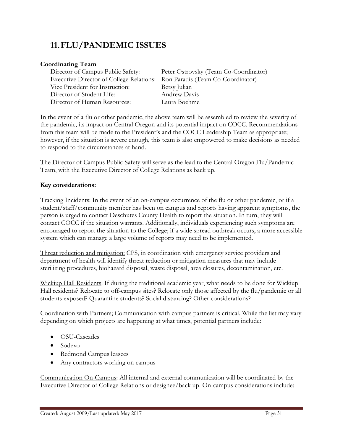# **11.FLU/PANDEMIC ISSUES**

# **Coordinating Team**

Executive Director of College Relations: Ron Paradis (Team Co-Coordinator) Vice President for Instruction: Betsy Julian Director of Student Life: Andrew Davis Director of Human Resources: Laura Boehme

Director of Campus Public Safety: Peter Ostrovsky (Team Co-Coordinator)

In the event of a flu or other pandemic, the above team will be assembled to review the severity of the pandemic, its impact on Central Oregon and its potential impact on COCC. Recommendations from this team will be made to the President's and the COCC Leadership Team as appropriate; however, if the situation is severe enough, this team is also empowered to make decisions as needed to respond to the circumstances at hand.

The Director of Campus Public Safety will serve as the lead to the Central Oregon Flu/Pandemic Team, with the Executive Director of College Relations as back up.

# **Key considerations:**

Tracking Incidents: In the event of an on-campus occurrence of the flu or other pandemic, or if a student/staff/community member has been on campus and reports having apparent symptoms, the person is urged to contact Deschutes County Health to report the situation. In turn, they will contact COCC if the situation warrants. Additionally, individuals experiencing such symptoms are encouraged to report the situation to the College; if a wide spread outbreak occurs, a more accessible system which can manage a large volume of reports may need to be implemented.

Threat reduction and mitigation: CPS, in coordination with emergency service providers and department of health will identify threat reduction or mitigation measures that may include sterilizing procedures, biohazard disposal, waste disposal, area closures, decontamination, etc.

Wickiup Hall Residents: If during the traditional academic year, what needs to be done for Wickiup Hall residents? Relocate to off-campus sites? Relocate only those affected by the flu/pandemic or all students exposed? Quarantine students? Social distancing? Other considerations?

Coordination with Partners; Communication with campus partners is critical. While the list may vary depending on which projects are happening at what times, potential partners include:

- OSU-Cascades
- Sodexo
- Redmond Campus leasees
- Any contractors working on campus

Communication On-Campus: All internal and external communication will be coordinated by the Executive Director of College Relations or designee/back up. On-campus considerations include: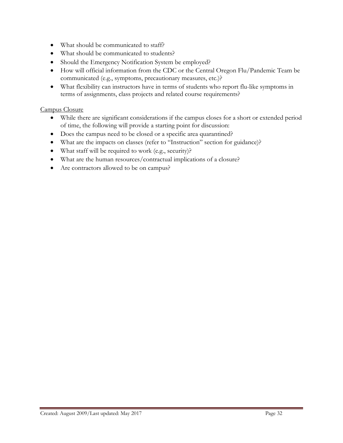- What should be communicated to staff?
- What should be communicated to students?
- Should the Emergency Notification System be employed?
- How will official information from the CDC or the Central Oregon Flu/Pandemic Team be communicated (e.g., symptoms, precautionary measures, etc.)?
- What flexibility can instructors have in terms of students who report flu-like symptoms in terms of assignments, class projects and related course requirements?

#### Campus Closure

- While there are significant considerations if the campus closes for a short or extended period of time, the following will provide a starting point for discussion:
- Does the campus need to be closed or a specific area quarantined?
- What are the impacts on classes (refer to "Instruction" section for guidance)?
- What staff will be required to work (e.g., security)?
- What are the human resources/contractual implications of a closure?
- Are contractors allowed to be on campus?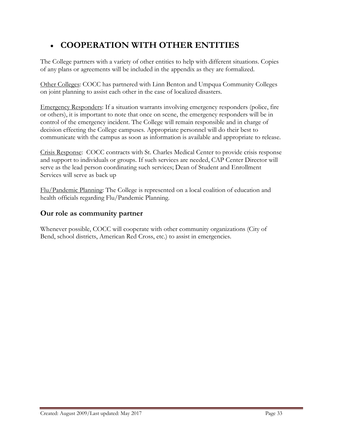# • **COOPERATION WITH OTHER ENTITIES**

The College partners with a variety of other entities to help with different situations. Copies of any plans or agreements will be included in the appendix as they are formalized.

Other Colleges: COCC has partnered with Linn Benton and Umpqua Community Colleges on joint planning to assist each other in the case of localized disasters.

Emergency Responders: If a situation warrants involving emergency responders (police, fire or others), it is important to note that once on scene, the emergency responders will be in control of the emergency incident. The College will remain responsible and in charge of decision effecting the College campuses. Appropriate personnel will do their best to communicate with the campus as soon as information is available and appropriate to release.

Crisis Response: COCC contracts with St. Charles Medical Center to provide crisis response and support to individuals or groups. If such services are needed, CAP Center Director will serve as the lead person coordinating such services; Dean of Student and Enrollment Services will serve as back up

Flu/Pandemic Planning: The College is represented on a local coalition of education and health officials regarding Flu/Pandemic Planning.

# **Our role as community partner**

Whenever possible, COCC will cooperate with other community organizations (City of Bend, school districts, American Red Cross, etc.) to assist in emergencies.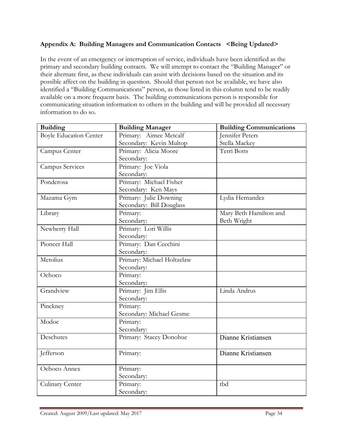# **Appendix A: Building Managers and Communication Contacts <Being Updated>**

In the event of an emergency or interruption of service, individuals have been identified as the primary and secondary building contacts. We will attempt to contact the "Building Manager" or their alternate first, as these individuals can assist with decisions based on the situation and its possible affect on the building in question. Should that person not be available, we have also identified a "Building Communications" person, as those listed in this column tend to be readily available on a more frequent basis. The building communications person is responsible for communicating situation information to others in the building and will be provided all necessary information to do so.

| <b>Building</b>               | <b>Building Manager</b>    | <b>Building Communications</b> |
|-------------------------------|----------------------------|--------------------------------|
| <b>Boyle Education Center</b> | Primary: Aimee Metcalf     | Jennifer Peters                |
|                               | Secondary: Kevin Multop    | Stella Mackey                  |
| Campus Center                 | Primary: Alicia Moore      | Terri Botts                    |
|                               | Secondary:                 |                                |
| <b>Campus Services</b>        | Primary: Joe Viola         |                                |
|                               | Secondary:                 |                                |
| Ponderosa                     | Primary: Michael Fisher    |                                |
|                               | Secondary: Ken Mays        |                                |
| Mazama Gym                    | Primary: Julie Downing     | Lydia Hernandez                |
|                               | Secondary: Bill Douglass   |                                |
| Library                       | Primary:                   | Mary Beth Hamilton and         |
|                               | Secondary:                 | Beth Wright                    |
| Newberry Hall                 | Primary: Lori Willis       |                                |
|                               | Secondary:                 |                                |
| Pioneer Hall                  | Primary: Dan Cecchini      |                                |
|                               | Secondary:                 |                                |
| Metolius                      | Primary: Michael Holtzclaw |                                |
|                               | Secondary:                 |                                |
| Ochoco                        | Primary:                   |                                |
|                               | Secondary:                 |                                |
| Grandview                     | Primary: Jim Ellis         | Linda Andrus                   |
|                               | Secondary:                 |                                |
| Pinckney                      | Primary:                   |                                |
|                               | Secondary: Michael Gesme   |                                |
| Modoc                         | Primary:                   |                                |
|                               | Secondary:                 |                                |
| Deschutes                     | Primary: Stacey Donohue    | Dianne Kristiansen             |
| Jefferson                     | Primary:                   | Dianne Kristiansen             |
|                               |                            |                                |
| Ochoco Annex                  | Primary:                   |                                |
|                               | Secondary:                 |                                |
| Culinary Center               | Primary:                   | tbd                            |
|                               | Secondary:                 |                                |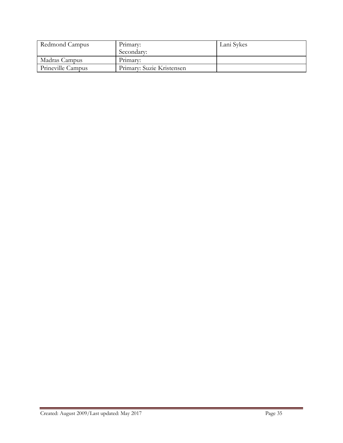| Redmond Campus    | Primary:                  | Lani Sykes |
|-------------------|---------------------------|------------|
|                   | Secondary:                |            |
| Madras Campus     | Primary:                  |            |
| Prineville Campus | Primary: Suzie Kristensen |            |